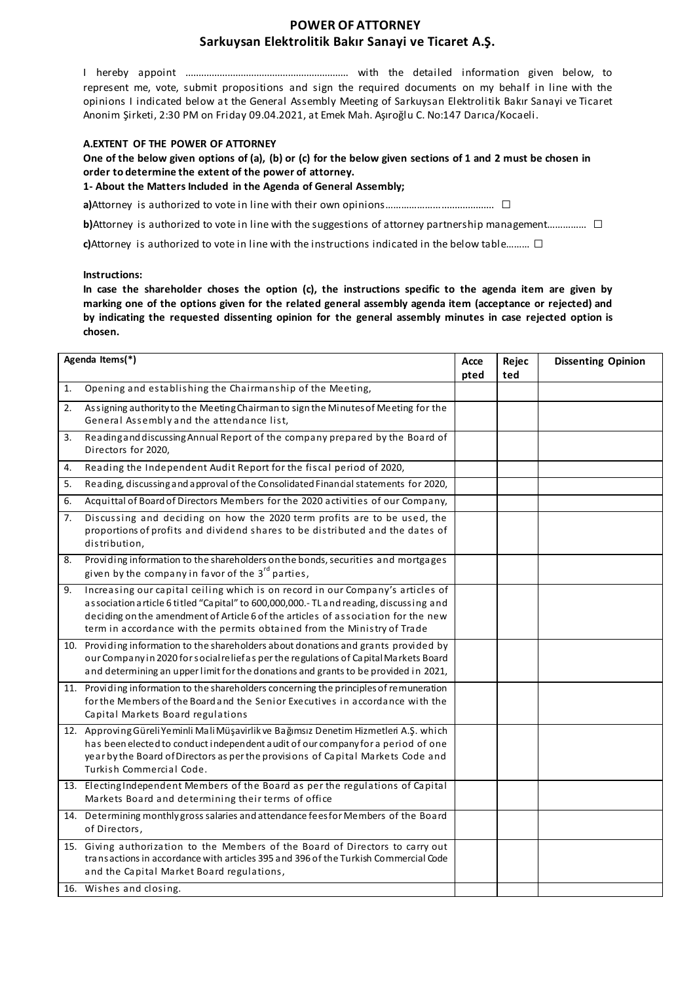## **POWER OF ATTORNEY Sarkuysan Elektrolitik Bakır Sanayi ve Ticaret A.Ş.**

I hereby appoint .............................................................. with the detailed information given below, to represent me, vote, submit propositions and sign the required documents on my behalf in line with the opinions I indicated below at the General Assembly Meeting of Sarkuysan Elektrolitik Bakır Sanayi ve Ticaret Anonim Şirketi, 2:30 PM on Friday 09.04.2021, at Emek Mah. Aşıroğlu C. No:147 Darıca/Kocaeli.

#### **A.EXTENT OF THE POWER OF ATTORNEY**

**One of the below given options of (a), (b) or (c) for the below given sections of 1 and 2 must be chosen in order to determine the extent of the power of attorney.** 

**1- About the Matters Included in the Agenda of General Assembly;** 

**a)**Attorney is authorized to vote in line with their own opinions………………………………………… □

**b**)Attorney is authorized to vote in line with the suggestions of attorney partnership management…………… □

**c)**Attorney is authorized to vote in line with the instructions indicated in the below table……… □

#### **Instructions:**

**In case the shareholder choses the option (c), the instructions specific to the agenda item are given by marking one of the options given for the related general assembly agenda item (acceptance or rejected) and by indicating the requested dissenting opinion for the general assembly minutes in case rejected option is chosen.** 

| Agenda Items(*) |                                                                                                                                                                                                                                                                                                                                         | Acce<br>pted | Rejec<br>ted | <b>Dissenting Opinion</b> |
|-----------------|-----------------------------------------------------------------------------------------------------------------------------------------------------------------------------------------------------------------------------------------------------------------------------------------------------------------------------------------|--------------|--------------|---------------------------|
| 1.              | Opening and establishing the Chairmanship of the Meeting,                                                                                                                                                                                                                                                                               |              |              |                           |
| 2.              | Assigning authority to the Meeting Chairman to sign the Minutes of Meeting for the<br>General Assembly and the attendance list,                                                                                                                                                                                                         |              |              |                           |
| 3.              | Reading and discussing Annual Report of the company prepared by the Board of<br>Directors for 2020,                                                                                                                                                                                                                                     |              |              |                           |
| 4.              | Reading the Independent Audit Report for the fiscal period of 2020,                                                                                                                                                                                                                                                                     |              |              |                           |
| 5.              | Reading, discussing and approval of the Consolidated Financial statements for 2020,                                                                                                                                                                                                                                                     |              |              |                           |
| 6.              | Acquittal of Board of Directors Members for the 2020 activities of our Company,                                                                                                                                                                                                                                                         |              |              |                           |
| 7.              | Discussing and deciding on how the 2020 term profits are to be used, the<br>proportions of profits and dividend shares to be distributed and the dates of<br>distribution,                                                                                                                                                              |              |              |                           |
| 8.              | Providing information to the shareholders on the bonds, securities and mortgages<br>given by the company in favor of the 3 <sup>rd</sup> parties,                                                                                                                                                                                       |              |              |                           |
| 9.              | Increasing our capital ceiling which is on record in our Company's articles of<br>association article 6 titled "Capital" to 600,000,000.-TL and reading, discussing and<br>deciding on the amendment of Article 6 of the articles of association for the new<br>term in accordance with the permits obtained from the Ministry of Trade |              |              |                           |
|                 | 10. Providing information to the shareholders about donations and grants provided by<br>our Company in 2020 for social reliefas per the regulations of Capital Markets Board<br>and determining an upper limit for the donations and grants to be provided in 2021,                                                                     |              |              |                           |
|                 | 11. Providing information to the shareholders concerning the principles of remuneration<br>for the Members of the Board and the Senior Executives in accordance with the<br>Capital Markets Board regulations                                                                                                                           |              |              |                           |
|                 | 12. Approving Güreli Yeminli Mali Müşavirlik ve Bağımsız Denetim Hizmetleri A.Ş. which<br>has been elected to conduct independent audit of our company for a period of one<br>year by the Board of Directors as per the provisions of Capital Markets Code and<br>Turkish Commercial Code.                                              |              |              |                           |
|                 | 13. Electing Independent Members of the Board as per the regulations of Capital<br>Markets Board and determining their terms of office                                                                                                                                                                                                  |              |              |                           |
|                 | 14. Determining monthly gross salaries and attendance fees for Members of the Board<br>of Directors,                                                                                                                                                                                                                                    |              |              |                           |
|                 | 15. Giving authorization to the Members of the Board of Directors to carry out<br>transactions in accordance with articles 395 and 396 of the Turkish Commercial Code<br>and the Capital Market Board regulations,                                                                                                                      |              |              |                           |
|                 | 16. Wishes and closing.                                                                                                                                                                                                                                                                                                                 |              |              |                           |